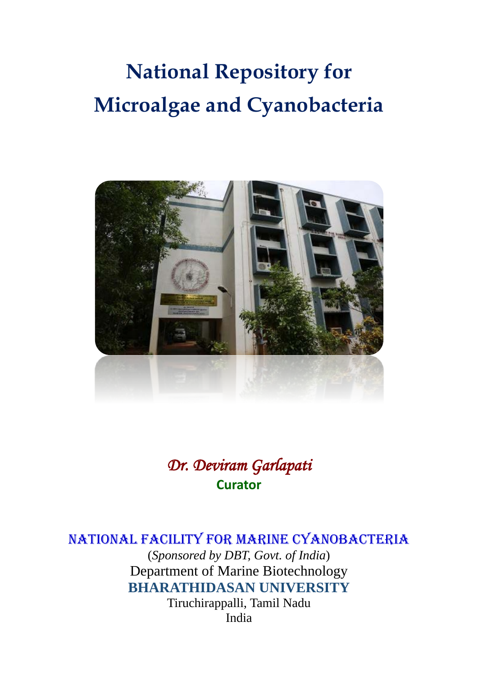# **National Repository for Microalgae and Cyanobacteria**



# *Dr. Deviram Garlapati*  **Curator**

# National Facility for Marine Cyanobacteria

(*Sponsored by DBT, Govt. of India*) Department of Marine Biotechnology **BHARATHIDASAN UNIVERSITY**

Tiruchirappalli, Tamil Nadu India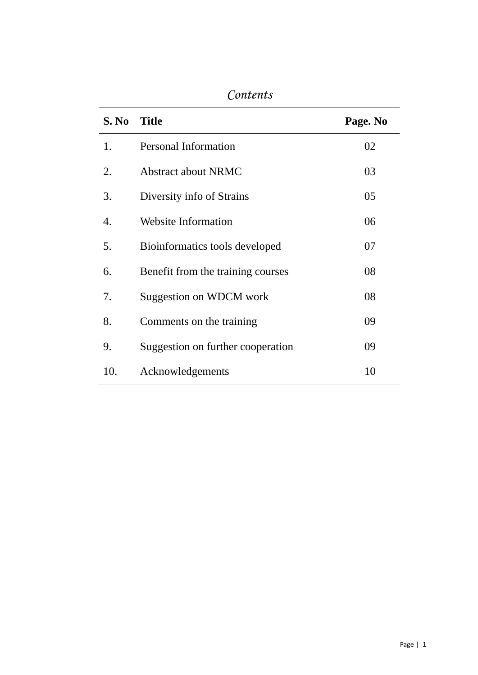| S. No | <b>Title</b>                      | Page. No |
|-------|-----------------------------------|----------|
| 1.    | <b>Personal Information</b>       | 02       |
| 2.    | <b>Abstract about NRMC</b>        | 03       |
| 3.    | Diversity info of Strains         | 05       |
| 4.    | <b>Website Information</b>        | 06       |
| 5.    | Bioinformatics tools developed    | 07       |
| 6.    | Benefit from the training courses | 08       |
| 7.    | Suggestion on WDCM work           | 08       |
| 8.    | Comments on the training          | 09       |
| 9.    | Suggestion on further cooperation | 09       |
| 10.   | Acknowledgements                  | 10       |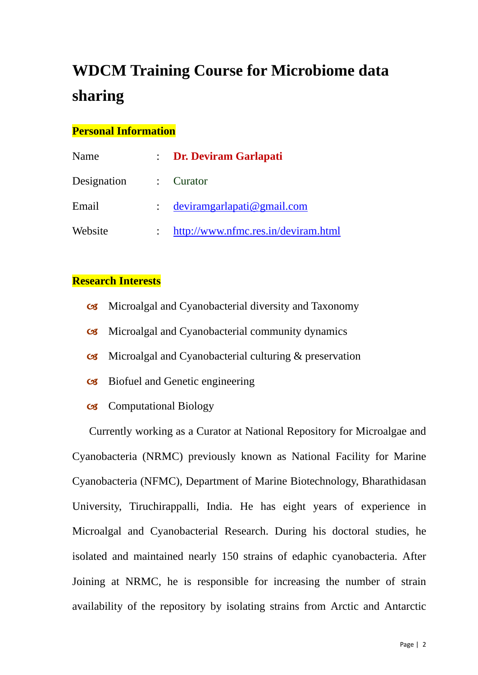# **WDCM Training Course for Microbiome data sharing**

#### **Personal Information**

| Name        | : Dr. Deviram Garlapati             |
|-------------|-------------------------------------|
| Designation | $\therefore$ Curator                |
| Email       | devirangarlapati@gmail.com          |
| Website     | http://www.nfmc.res.in/deviram.html |

#### **Research Interests**

- Microalgal and Cyanobacterial diversity and Taxonomy
- Microalgal and Cyanobacterial community dynamics
- Microalgal and Cyanobacterial culturing & preservation
- Biofuel and Genetic engineering
- Computational Biology

Currently working as a Curator at National Repository for Microalgae and Cyanobacteria (NRMC) previously known as National Facility for Marine Cyanobacteria (NFMC), Department of Marine Biotechnology, Bharathidasan University, Tiruchirappalli, India. He has eight years of experience in Microalgal and Cyanobacterial Research. During his doctoral studies, he isolated and maintained nearly 150 strains of edaphic cyanobacteria. After Joining at NRMC, he is responsible for increasing the number of strain availability of the repository by isolating strains from Arctic and Antarctic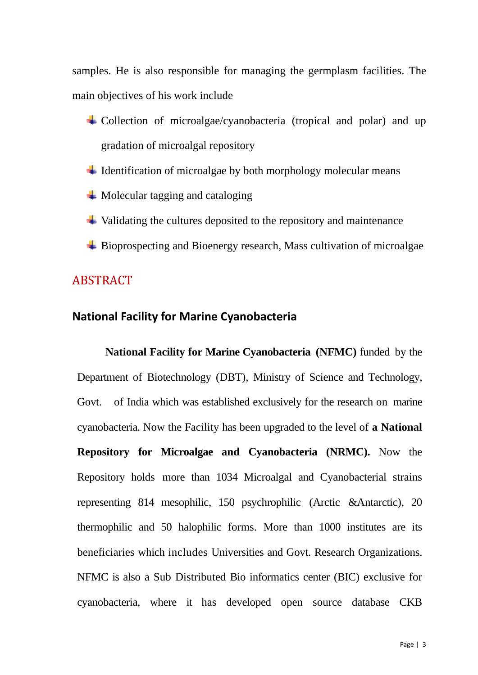samples. He is also responsible for managing the germplasm facilities. The main objectives of his work include

- Collection of microalgae/cyanobacteria (tropical and polar) and up gradation of microalgal repository
- $\ddot{\phantom{1}}$  Identification of microalgae by both morphology molecular means
- $\overline{\phantom{a}}$  Molecular tagging and cataloging
- $\ddot{\bullet}$  Validating the cultures deposited to the repository and maintenance
- $\div$  Bioprospecting and Bioenergy research, Mass cultivation of microalgae

#### ABSTRACT

#### **National Facility for Marine Cyanobacteria**

**National Facility for Marine Cyanobacteria (NFMC)** funded by the Department of Biotechnology (DBT), Ministry of Science and Technology, Govt. of India which was established exclusively for the research on marine cyanobacteria. Now the Facility has been upgraded to the level of **a National Repository for Microalgae and Cyanobacteria (NRMC).** Now the Repository holds more than 1034 Microalgal and Cyanobacterial strains representing 814 mesophilic, 150 psychrophilic (Arctic &Antarctic), 20 thermophilic and 50 halophilic forms. More than 1000 institutes are its beneficiaries which includes Universities and Govt. Research Organizations. NFMC is also a Sub Distributed Bio informatics center (BIC) exclusive for cyanobacteria, where it has developed open source database CKB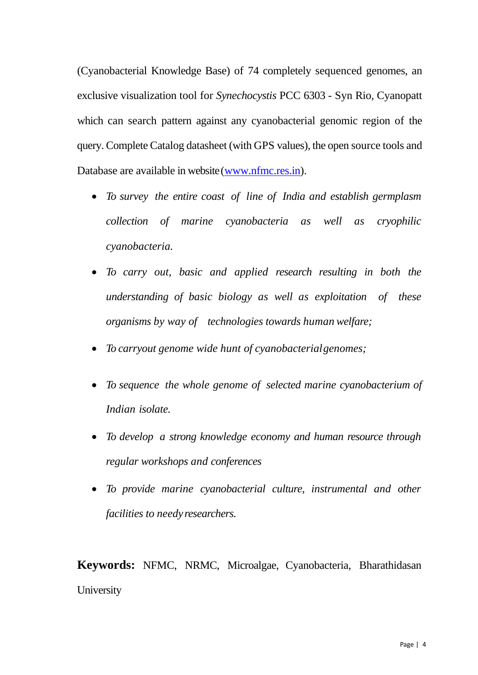(Cyanobacterial Knowledge Base) of 74 completely sequenced genomes, an exclusive visualization tool for *Synechocystis* PCC 6303 - Syn Rio, Cyanopatt which can search pattern against any cyanobacterial genomic region of the query. Complete Catalog datasheet (with GPS values), the open source tools and Database are available in website[\(www.nfmc.res.in\)](http://www.nfmc.res.in/).

- *To survey the entire coast of line of India and establish germplasm collection of marine cyanobacteria as well as cryophilic cyanobacteria.*
- *To carry out, basic and applied research resulting in both the understanding of basic biology as well as exploitation of these organisms by way of technologies towards human welfare;*
- *To carryout genome wide hunt of cyanobacterialgenomes;*
- *To sequence the whole genome of selected marine cyanobacterium of Indian isolate.*
- *To develop a strong knowledge economy and human resource through regular workshops and conferences*
- *To provide marine cyanobacterial culture, instrumental and other facilities to needy researchers.*

**Keywords:** NFMC, NRMC, Microalgae, Cyanobacteria, Bharathidasan **University**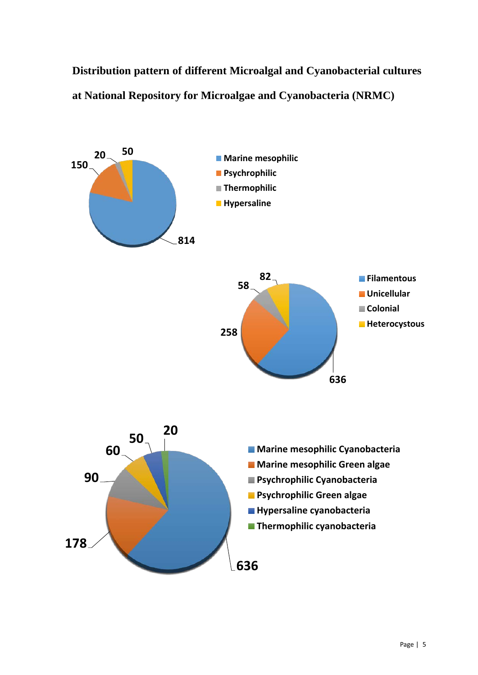**Distribution pattern of different Microalgal and Cyanobacterial cultures at National Repository for Microalgae and Cyanobacteria (NRMC)**

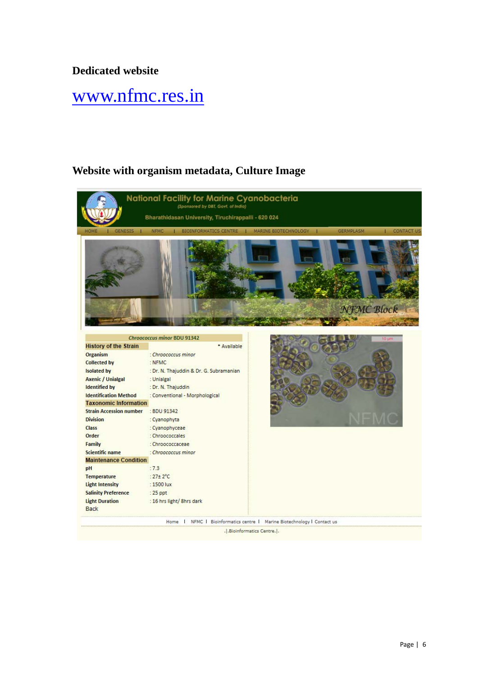#### **Dedicated website**

# [www.nfmc.res.in](http://www.nfmc.res.in/)

#### **Website with organism metadata, Culture Image**

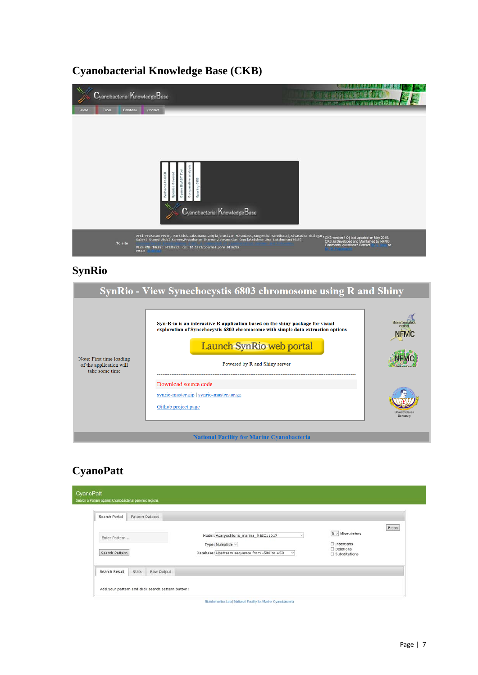#### **Cyanobacterial Knowledge Base (CKB)**



### **SynRio**

|                                                                       | SynRio - View Synechocystis 6803 chromosome using R and Shiny                                                                                                                                  |                            |  |  |
|-----------------------------------------------------------------------|------------------------------------------------------------------------------------------------------------------------------------------------------------------------------------------------|----------------------------|--|--|
|                                                                       | Syn-R-io is an interactive R application based on the shiny package for visual<br>exploration of Synechocystis 6803 chromosome with simple data extraction options<br>Launch SynRio web portal | <b>Bioinfom</b><br>cente   |  |  |
| Note: First time loading<br>of the application will<br>take some time | Powered by R and Shiny server                                                                                                                                                                  |                            |  |  |
|                                                                       | Download source code                                                                                                                                                                           |                            |  |  |
|                                                                       | synrio-master.zip   synrio-master.tar.gz                                                                                                                                                       |                            |  |  |
|                                                                       | Github project page                                                                                                                                                                            | Bharathidasa<br>University |  |  |
|                                                                       | <b>National Facility for Marine Cyanobacteria</b>                                                                                                                                              |                            |  |  |

#### **CyanoPatt**

| Search Portal  | Pattern Dataset |            |                                                            |        |                                          |       |
|----------------|-----------------|------------|------------------------------------------------------------|--------|------------------------------------------|-------|
| Enter Pattern  |                 |            | Model: Acaryochloris marina MBIC11017<br>Type: Nuleotide v |        | $0 \vee$ Mismatches<br>$\Box$ Insertions | P-con |
| Search Pattern |                 |            | Database: Upstream sequence from -500 to +50               | $\vee$ | $\Box$ Deletions<br>Substitutions        |       |
| Search Result  | Stats           | Raw Output |                                                            |        |                                          |       |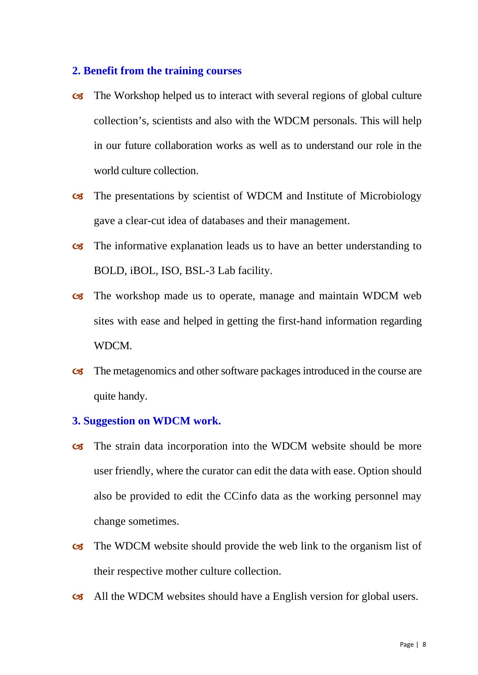#### **2. Benefit from the training courses**

- The Workshop helped us to interact with several regions of global culture collection's, scientists and also with the WDCM personals. This will help in our future collaboration works as well as to understand our role in the world culture collection.
- The presentations by scientist of WDCM and Institute of Microbiology gave a clear-cut idea of databases and their management.
- The informative explanation leads us to have an better understanding to BOLD, iBOL, ISO, BSL-3 Lab facility.
- The workshop made us to operate, manage and maintain WDCM web sites with ease and helped in getting the first-hand information regarding WDCM.
- The metagenomics and other software packages introduced in the course are quite handy.

#### **3. Suggestion on WDCM work.**

- The strain data incorporation into the WDCM website should be more user friendly, where the curator can edit the data with ease. Option should also be provided to edit the CCinfo data as the working personnel may change sometimes.
- The WDCM website should provide the web link to the organism list of their respective mother culture collection.
- All the WDCM websites should have a English version for global users.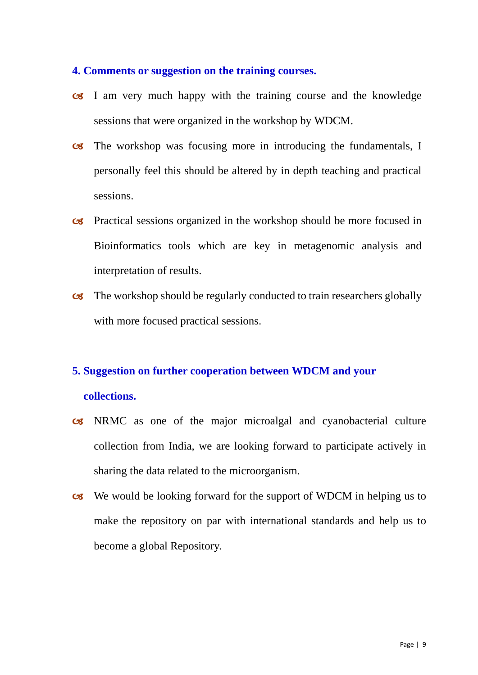#### **4. Comments or suggestion on the training courses.**

- I am very much happy with the training course and the knowledge sessions that were organized in the workshop by WDCM.
- The workshop was focusing more in introducing the fundamentals, I personally feel this should be altered by in depth teaching and practical sessions.
- Practical sessions organized in the workshop should be more focused in Bioinformatics tools which are key in metagenomic analysis and interpretation of results.
- The workshop should be regularly conducted to train researchers globally with more focused practical sessions.

#### **5. Suggestion on further cooperation between WDCM and your**

#### **collections.**

- NRMC as one of the major microalgal and cyanobacterial culture collection from India, we are looking forward to participate actively in sharing the data related to the microorganism.
- We would be looking forward for the support of WDCM in helping us to make the repository on par with international standards and help us to become a global Repository.